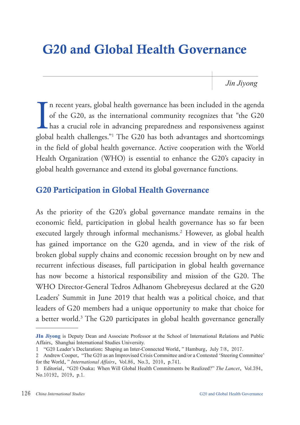# G20 and Global Health Governance

*Jin Jiyong*

In recent years, global health governance has been included in the agenda of the G20, as the international community recognizes that "the G20 has a crucial role in advancing preparedness and responsiveness against global h n recent years, global health governance has been included in the agenda of the G20, as the international community recognizes that "the G20 has a crucial role in advancing preparedness and responsiveness against in the field of global health governance. Active cooperation with the World Health Organization (WHO) is essential to enhance the G20's capacity in global health governance and extend its global governance functions.

## G20 Participation in Global Health Governance

As the priority of the G20's global governance mandate remains in the economic field, participation in global health governance has so far been executed largely through informal mechanisms.2 However, as global health has gained importance on the G20 agenda, and in view of the risk of broken global supply chains and economic recession brought on by new and recurrent infectious diseases, full participation in global health governance has now become a historical responsibility and mission of the G20. The WHO Director-General Tedros Adhanom Ghebreyesus declared at the G20 Leaders' Summit in June 2019 that health was a political choice, and that leaders of G20 members had a unique opportunity to make that choice for a better world.3 The G20 participates in global health governance generally

**JIn Jiyong** is Deputy Dean and Associate Professor at the School of International Relations and Public Affairs, Shanghai International Studies University.

<sup>1</sup> "G20 Leader's Declaration: Shaping an Inter-Connected World," Hamburg, July 7/8, 2017.

<sup>2</sup> Andrew Cooper, "The G20 as an Improvised Crisis Committee and/or a Contested 'Steering Committee' for the World," *International Affairs*, Vol.86, No.3, 2010, p.741.

<sup>3</sup> Editorial, "G20 Osaka: When Will Global Health Commitments be Realized?" *The Lancet*, Vol.394, No.10192, 2019, p.1.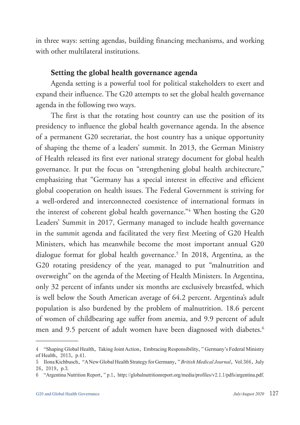in three ways: setting agendas, building financing mechanisms, and working with other multilateral institutions.

#### Setting the global health governance agenda

Agenda setting is a powerful tool for political stakeholders to exert and expand their influence. The G20 attempts to set the global health governance agenda in the following two ways.

The first is that the rotating host country can use the position of its presidency to influence the global health governance agenda. In the absence of a permanent G20 secretariat, the host country has a unique opportunity of shaping the theme of a leaders' summit. In 2013, the German Ministry of Health released its first ever national strategy document for global health governance. It put the focus on "strengthening global health architecture," emphasizing that "Germany has a special interest in effective and efficient global cooperation on health issues. The Federal Government is striving for a well-ordered and interconnected coexistence of international formats in the interest of coherent global health governance."4 When hosting the G20 Leaders' Summit in 2017, Germany managed to include health governance in the summit agenda and facilitated the very first Meeting of G20 Health Ministers, which has meanwhile become the most important annual G20 dialogue format for global health governance.<sup>5</sup> In 2018, Argentina, as the G20 rotating presidency of the year, managed to put "malnutrition and overweight" on the agenda of the Meeting of Health Ministers. In Argentina, only 32 percent of infants under six months are exclusively breastfed, which is well below the South American average of 64.2 percent. Argentina's adult population is also burdened by the problem of malnutrition. 18.6 percent of women of childbearing age suffer from anemia, and 9.9 percent of adult men and 9.5 percent of adult women have been diagnosed with diabetes.<sup>6</sup>

<sup>4</sup> "Shaping Global Health, Taking Joint Action, Embracing Responsibility," Germany's Federal Ministry of Health, 2013, p.41.

<sup>5</sup> Ilona Kichbusch, "A New Global Health Strategy for Germany," *British Medical Journal*, Vol.366, July 26, 2019, p.3.

<sup>6</sup> "Argentina Nutrition Report," p.1, http://globalnutritionreport.org/media/profiles/v2.1.1/pdfs/argentina.pdf.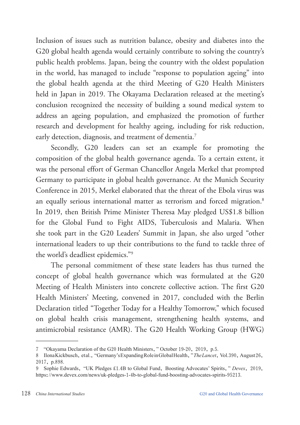Inclusion of issues such as nutrition balance, obesity and diabetes into the G20 global health agenda would certainly contribute to solving the country's public health problems. Japan, being the country with the oldest population in the world, has managed to include "response to population ageing" into the global health agenda at the third Meeting of G20 Health Ministers held in Japan in 2019. The Okayama Declaration released at the meeting's conclusion recognized the necessity of building a sound medical system to address an ageing population, and emphasized the promotion of further research and development for healthy ageing, including for risk reduction, early detection, diagnosis, and treatment of dementia.<sup>7</sup>

Secondly, G20 leaders can set an example for promoting the composition of the global health governance agenda. To a certain extent, it was the personal effort of German Chancellor Angela Merkel that prompted Germany to participate in global health governance. At the Munich Security Conference in 2015, Merkel elaborated that the threat of the Ebola virus was an equally serious international matter as terrorism and forced migration.<sup>8</sup> In 2019, then British Prime Minister Theresa May pledged US\$1.8 billion for the Global Fund to Fight AIDS, Tuberculosis and Malaria. When she took part in the G20 Leaders' Summit in Japan, she also urged "other international leaders to up their contributions to the fund to tackle three of the world's deadliest epidemics."9

The personal commitment of these state leaders has thus turned the concept of global health governance which was formulated at the G20 Meeting of Health Ministers into concrete collective action. The first G20 Health Ministers' Meeting, convened in 2017, concluded with the Berlin Declaration titled "Together Today for a Healthy Tomorrow," which focused on global health crisis management, strengthening health systems, and antimicrobial resistance (AMR). The G20 Health Working Group (HWG)

<sup>7</sup> "Okayama Declaration of the G20 Health Ministers," October 19-20, 2019, p.5.

<sup>8</sup> Ilona Kickbusch, et al., "Germany's Expanding Role in Global Health, "The Lancet, Vol. 390, August 26, 2017, p.898.

<sup>9</sup> Sophie Edwards, "UK Pledges £1.4B to Global Fund, Boosting Advocates' Spirits," *Devex*, 2019, https://www.devex.com/news/uk-pledges-1-4b-to-global-fund-boosting-advocates-spirits-95213.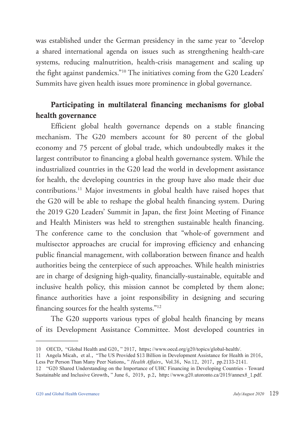was established under the German presidency in the same year to "develop a shared international agenda on issues such as strengthening health-care systems, reducing malnutrition, health-crisis management and scaling up the fight against pandemics."10 The initiatives coming from the G20 Leaders' Summits have given health issues more prominence in global governance.

# Participating in multilateral financing mechanisms for global health governance

Efficient global health governance depends on a stable financing mechanism. The G20 members account for 80 percent of the global economy and 75 percent of global trade, which undoubtedly makes it the largest contributor to financing a global health governance system. While the industrialized countries in the G20 lead the world in development assistance for health, the developing countries in the group have also made their due contributions.11 Major investments in global health have raised hopes that the G20 will be able to reshape the global health financing system. During the 2019 G20 Leaders' Summit in Japan, the first Joint Meeting of Finance and Health Ministers was held to strengthen sustainable health financing. The conference came to the conclusion that "whole-of government and multisector approaches are crucial for improving efficiency and enhancing public financial management, with collaboration between finance and health authorities being the centerpiece of such approaches. While health ministries are in charge of designing high-quality, financially-sustainable, equitable and inclusive health policy, this mission cannot be completed by them alone; finance authorities have a joint responsibility in designing and securing financing sources for the health systems."12

The G20 supports various types of global health financing by means of its Development Assistance Committee. Most developed countries in

<sup>10</sup> OECD, "Global Health and G20," 2017, https://www.oecd.org/g20/topics/global-health/.

<sup>11</sup> Angela Micah, et al., "The US Provided \$13 Billion in Development Assistance for Health in 2016, Less Per Person Than Many Peer Nations," *Health Affairs*, Vol.36, No.12, 2017, pp.2133-2141.

<sup>12</sup> "G20 Shared Understanding on the Importance of UHC Financing in Developing Countries - Toward Sustainable and Inclusive Growth," June 6, 2019, p.2, http://www.g20.utoronto.ca/2019/annex8\_1.pdf.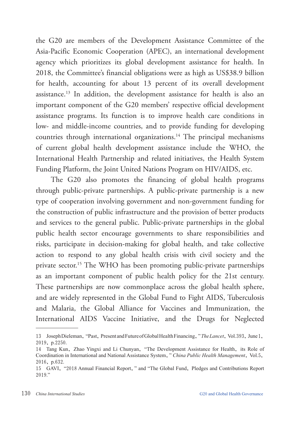the G20 are members of the Development Assistance Committee of the Asia-Pacific Economic Cooperation (APEC), an international development agency which prioritizes its global development assistance for health. In 2018, the Committee's financial obligations were as high as US\$38.9 billion for health, accounting for about 13 percent of its overall development assistance.13 In addition, the development assistance for health is also an important component of the G20 members' respective official development assistance programs. Its function is to improve health care conditions in low- and middle-income countries, and to provide funding for developing countries through international organizations.<sup>14</sup> The principal mechanisms of current global health development assistance include the WHO, the International Health Partnership and related initiatives, the Health System Funding Platform, the Joint United Nations Program on HIV/AIDS, etc.

The G20 also promotes the financing of global health programs through public-private partnerships. A public-private partnership is a new type of cooperation involving government and non-government funding for the construction of public infrastructure and the provision of better products and services to the general public. Public-private partnerships in the global public health sector encourage governments to share responsibilities and risks, participate in decision-making for global health, and take collective action to respond to any global health crisis with civil society and the private sector.<sup>15</sup> The WHO has been promoting public-private partnerships as an important component of public health policy for the 21st century. These partnerships are now commonplace across the global health sphere, and are widely represented in the Global Fund to Fight AIDS, Tuberculosis and Malaria, the Global Alliance for Vaccines and Immunization, the International AIDS Vaccine Initiative, and the Drugs for Neglected

<sup>13</sup> Joseph Dieleman, "Past, Present and Future of Global Health Financing," *The Lancet*, Vol.393, June 1, 2019, p.2250.

<sup>14</sup> Tang Kun, Zhao Yingxi and Li Chunyan, "The Development Assistance for Health, its Role of Coordination in International and National Assistance System," *China Public Health Management*, Vol.5, 2016, p.632.

<sup>15</sup> GAVI, "2018 Annual Financial Report," and "The Global Fund, Pledges and Contributions Report 2019."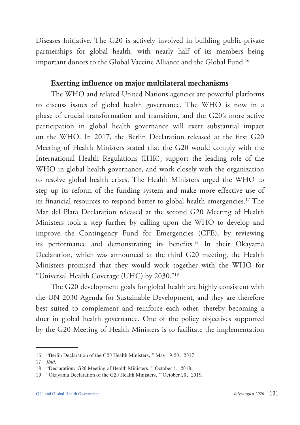Diseases Initiative. The G20 is actively involved in building public-private partnerships for global health, with nearly half of its members being important donors to the Global Vaccine Alliance and the Global Fund.16

#### Exerting influence on major multilateral mechanisms

The WHO and related United Nations agencies are powerful platforms to discuss issues of global health governance. The WHO is now in a phase of crucial transformation and transition, and the G20's more active participation in global health governance will exert substantial impact on the WHO. In 2017, the Berlin Declaration released at the first G20 Meeting of Health Ministers stated that the G20 would comply with the International Health Regulations (IHR), support the leading role of the WHO in global health governance, and work closely with the organization to resolve global health crises. The Health Ministers urged the WHO to step up its reform of the funding system and make more effective use of its financial resources to respond better to global health emergencies.17 The Mar del Plata Declaration released at the second G20 Meeting of Health Ministers took a step further by calling upon the WHO to develop and improve the Contingency Fund for Emergencies (CFE), by reviewing its performance and demonstrating its benefits.18 In their Okayama Declaration, which was announced at the third G20 meeting, the Health Ministers promised that they would work together with the WHO for "Universal Health Coverage (UHC) by 2030."19

The G20 development goals for global health are highly consistent with the UN 2030 Agenda for Sustainable Development, and they are therefore best suited to complement and reinforce each other, thereby becoming a duet in global health governance. One of the policy objectives supported by the G20 Meeting of Health Ministers is to facilitate the implementation

<sup>16</sup> "Berlin Declaration of the G20 Health Ministers," May 19-20, 2017.

<sup>17</sup> *Ibid*.

<sup>18</sup> "Declaration: G20 Meeting of Health Ministers," October 4, 2018.

<sup>19</sup> "Okayama Declaration of the G20 Health Ministers," October 20, 2019.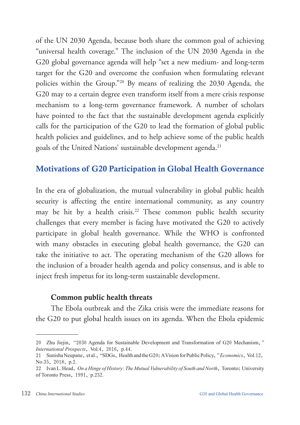of the UN 2030 Agenda, because both share the common goal of achieving "universal health coverage." The inclusion of the UN 2030 Agenda in the G20 global governance agenda will help "set a new medium- and long-term target for the G20 and overcome the confusion when formulating relevant policies within the Group."20 By means of realizing the 2030 Agenda, the G20 may to a certain degree even transform itself from a mere crisis response mechanism to a long-term governance framework. A number of scholars have pointed to the fact that the sustainable development agenda explicitly calls for the participation of the G20 to lead the formation of global public health policies and guidelines, and to help achieve some of the public health goals of the United Nations' sustainable development agenda.<sup>21</sup>

## Motivations of G20 Participation in Global Health Governance

In the era of globalization, the mutual vulnerability in global public health security is affecting the entire international community, as any country may be hit by a health crisis.<sup>22</sup> These common public health security challenges that every member is facing have motivated the G20 to actively participate in global health governance. While the WHO is confronted with many obstacles in executing global health governance, the G20 can take the initiative to act. The operating mechanism of the G20 allows for the inclusion of a broader health agenda and policy consensus, and is able to inject fresh impetus for its long-term sustainable development.

#### Common public health threats

The Ebola outbreak and the Zika crisis were the immediate reasons for the G20 to put global health issues on its agenda. When the Ebola epidemic

<sup>20</sup> Zhu Jiejin, "2030 Agenda for Sustainable Development and Transformation of G20 Mechanism," *International Prospects*, Vol.4, 2016, p.44.

<sup>21</sup> Sunisha Neupane, et al., "SDGs, Health and the G20: A Vision for Public Policy," *Economics*, Vol.12, No.35, 2018, p.2.

<sup>22</sup> Ivan L. Head, *On a Hinge of History: The Mutual Vulnerability of South and North*, Toronto: University of Toronto Press, 1991, p.232.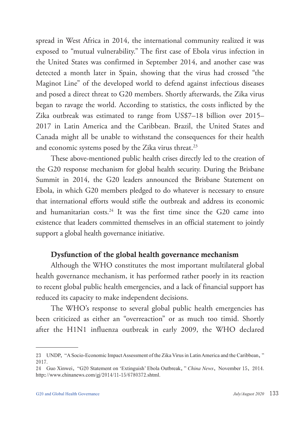spread in West Africa in 2014, the international community realized it was exposed to "mutual vulnerability." The first case of Ebola virus infection in the United States was confirmed in September 2014, and another case was detected a month later in Spain, showing that the virus had crossed "the Maginot Line" of the developed world to defend against infectious diseases and posed a direct threat to G20 members. Shortly afterwards, the Zika virus began to ravage the world. According to statistics, the costs inflicted by the Zika outbreak was estimated to range from US\$7–18 billion over 2015– 2017 in Latin America and the Caribbean. Brazil, the United States and Canada might all be unable to withstand the consequences for their health and economic systems posed by the Zika virus threat.<sup>23</sup>

These above-mentioned public health crises directly led to the creation of the G20 response mechanism for global health security. During the Brisbane Summit in 2014, the G20 leaders announced the Brisbane Statement on Ebola, in which G20 members pledged to do whatever is necessary to ensure that international efforts would stifle the outbreak and address its economic and humanitarian costs.<sup>24</sup> It was the first time since the G20 came into existence that leaders committed themselves in an official statement to jointly support a global health governance initiative.

## Dysfunction of the global health governance mechanism

Although the WHO constitutes the most important multilateral global health governance mechanism, it has performed rather poorly in its reaction to recent global public health emergencies, and a lack of financial support has reduced its capacity to make independent decisions.

The WHO's response to several global public health emergencies has been criticized as either an "overreaction" or as much too timid. Shortly after the H1N1 influenza outbreak in early 2009, the WHO declared

<sup>23</sup> UNDP, "A Socio-Economic Impact Assessment of the Zika Virus in Latin America and the Caribbean," 2017.

<sup>24</sup> Guo Xinwei, "G20 Statement on 'Extinguish' Ebola Outbreak," *China News*, November 15, 2014. http://www.chinanews.com/gj/2014/11-15/6780372.shtml.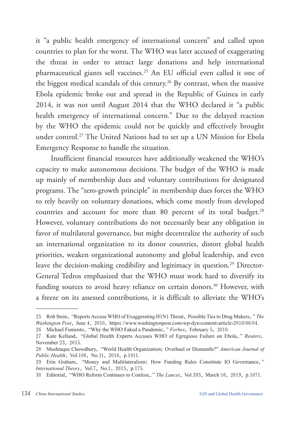it "a public health emergency of international concern" and called upon countries to plan for the worst. The WHO was later accused of exaggerating the threat in order to attract large donations and help international pharmaceutical giants sell vaccines.25 An EU official even called it one of the biggest medical scandals of this century.<sup>26</sup> By contrast, when the massive Ebola epidemic broke out and spread in the Republic of Guinea in early 2014, it was not until August 2014 that the WHO declared it "a public health emergency of international concern." Due to the delayed reaction by the WHO the epidemic could not be quickly and effectively brought under control.27 The United Nations had to set up a UN Mission for Ebola Emergency Response to handle the situation.

Insufficient financial resources have additionally weakened the WHO's capacity to make autonomous decisions. The budget of the WHO is made up mainly of membership dues and voluntary contributions for designated programs. The "zero-growth principle" in membership dues forces the WHO to rely heavily on voluntary donations, which come mostly from developed countries and account for more than 80 percent of its total budget.<sup>28</sup> However, voluntary contributions do not necessarily bear any obligation in favor of multilateral governance, but might decentralize the authority of such an international organization to its donor countries, distort global health priorities, weaken organizational autonomy and global leadership, and even leave the decision-making credibility and legitimacy in question.<sup>29</sup> Director-General Tedros emphasized that the WHO must work hard to diversify its funding sources to avoid heavy reliance on certain donors.<sup>30</sup> However, with a freeze on its assessed contributions, it is difficult to alleviate the WHO's

<sup>25</sup> Rob Stein, "Reports Accuse WHO of Exaggerating H1N1 Threat, Possible Ties to Drug Makers," *The Washington Post*, June 4, 2010, https://www.washingtonpost.com/wp-dyn/content/article/2010/06/04.

<sup>26</sup> Michael Fumento, "Why the WHO Faked a Pandemic," *Forbes*, February 5, 2010.

<sup>27</sup> Kate Kelland, "Global Health Experts Accuses WHO of Egregious Failure on Ebola," *Reuters*, November 23, 2015.

<sup>28</sup> Mushtaque Chowdhury, "World Health Organization: Overhaul or Dismantle?" *American Journal of Public Health*, Vol.106, No.11, 2016, p.1911.

<sup>29</sup> Erin Graham, "Money and Multilateralism: How Funding Rules Constitute IO Governance," *International Theory*, Vol.7, No.1, 2015, p.175.

<sup>30</sup> Editorial, "WHO Reform Continues to Confuse," *The Lancet*, Vol.393, March 16, 2019, p.1071.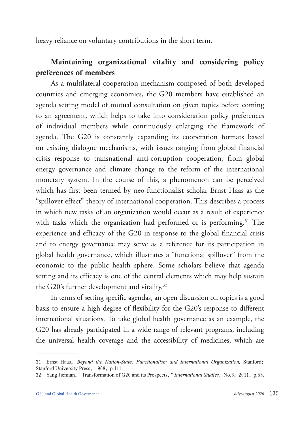heavy reliance on voluntary contributions in the short term.

# Maintaining organizational vitality and considering policy preferences of members

As a multilateral cooperation mechanism composed of both developed countries and emerging economies, the G20 members have established an agenda setting model of mutual consultation on given topics before coming to an agreement, which helps to take into consideration policy preferences of individual members while continuously enlarging the framework of agenda. The G20 is constantly expanding its cooperation formats based on existing dialogue mechanisms, with issues ranging from global financial crisis response to transnational anti-corruption cooperation, from global energy governance and climate change to the reform of the international monetary system. In the course of this, a phenomenon can be perceived which has first been termed by neo-functionalist scholar Ernst Haas as the "spillover effect" theory of international cooperation. This describes a process in which new tasks of an organization would occur as a result of experience with tasks which the organization had performed or is performing.<sup>31</sup> The experience and efficacy of the G20 in response to the global financial crisis and to energy governance may serve as a reference for its participation in global health governance, which illustrates a "functional spillover" from the economic to the public health sphere. Some scholars believe that agenda setting and its efficacy is one of the central elements which may help sustain the G20's further development and vitality.<sup>32</sup>

In terms of setting specific agendas, an open discussion on topics is a good basis to ensure a high degree of flexibility for the G20's response to different international situations. To take global health governance as an example, the G20 has already participated in a wide range of relevant programs, including the universal health coverage and the accessibility of medicines, which are

<sup>31</sup> Ernst Haas, *Beyond the Nation-State: Functionalism and International Organization,* Stanford: Stanford University Press, 1968, p.111.

<sup>32</sup> Yang Jiemian, "Transformation of G20 and its Prospects," *International Studies*, No.6, 2011, p.55.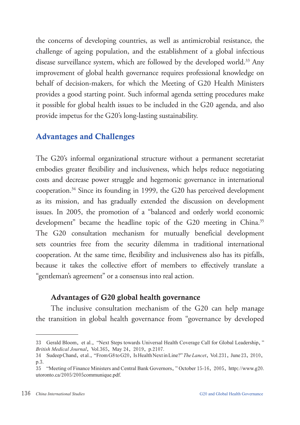the concerns of developing countries, as well as antimicrobial resistance, the challenge of ageing population, and the establishment of a global infectious disease surveillance system, which are followed by the developed world.<sup>33</sup> Any improvement of global health governance requires professional knowledge on behalf of decision-makers, for which the Meeting of G20 Health Ministers provides a good starting point. Such informal agenda setting procedures make it possible for global health issues to be included in the G20 agenda, and also provide impetus for the G20's long-lasting sustainability.

## Advantages and Challenges

The G20's informal organizational structure without a permanent secretariat embodies greater flexibility and inclusiveness, which helps reduce negotiating costs and decrease power struggle and hegemonic governance in international cooperation.34 Since its founding in 1999, the G20 has perceived development as its mission, and has gradually extended the discussion on development issues. In 2005, the promotion of a "balanced and orderly world economic development" became the headline topic of the G20 meeting in China.<sup>35</sup> The G20 consultation mechanism for mutually beneficial development sets countries free from the security dilemma in traditional international cooperation. At the same time, flexibility and inclusiveness also has its pitfalls, because it takes the collective effort of members to effectively translate a "gentleman's agreement" or a consensus into real action.

## Advantages of G20 global health governance

The inclusive consultation mechanism of the G20 can help manage the transition in global health governance from "governance by developed

<sup>33</sup> Gerald Bloom, et al., "Next Steps towards Universal Health Coverage Call for Global Leadership," *British Medical Journal*, Vol.365, May 24, 2019, p.2107.

<sup>34</sup> Sudeep Chand, et al., "From G8 to G20, Is Health Next in Line?" *The Lancet*, Vol.231, June 23, 2010, p.3.

<sup>35</sup> "Meeting of Finance Ministers and Central Bank Governors," October 15-16, 2005, http://www.g20. utoronto.ca/2005/2005communique.pdf.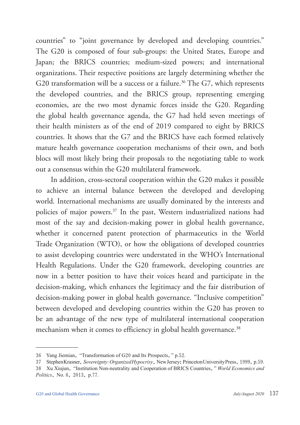countries" to "joint governance by developed and developing countries." The G20 is composed of four sub-groups: the United States, Europe and Japan; the BRICS countries; medium-sized powers; and international organizations. Their respective positions are largely determining whether the G20 transformation will be a success or a failure.<sup>36</sup> The G7, which represents the developed countries, and the BRICS group, representing emerging economies, are the two most dynamic forces inside the G20. Regarding the global health governance agenda, the G7 had held seven meetings of their health ministers as of the end of 2019 compared to eight by BRICS countries. It shows that the G7 and the BRICS have each formed relatively mature health governance cooperation mechanisms of their own, and both blocs will most likely bring their proposals to the negotiating table to work out a consensus within the G20 multilateral framework.

In addition, cross-sectoral cooperation within the G20 makes it possible to achieve an internal balance between the developed and developing world. International mechanisms are usually dominated by the interests and policies of major powers.37 In the past, Western industrialized nations had most of the say and decision-making power in global health governance, whether it concerned patent protection of pharmaceutics in the World Trade Organization (WTO), or how the obligations of developed countries to assist developing countries were understated in the WHO's International Health Regulations. Under the G20 framework, developing countries are now in a better position to have their voices heard and participate in the decision-making, which enhances the legitimacy and the fair distribution of decision-making power in global health governance. "Inclusive competition" between developed and developing countries within the G20 has proven to be an advantage of the new type of multilateral international cooperation mechanism when it comes to efficiency in global health governance.<sup>38</sup>

<sup>36</sup> Yang Jiemian, "Transformation of G20 and Its Prospects," p.52.

<sup>37</sup> Stephen Krasner, *Sovereignty: Organized Hypocrisy*, New Jersey: Princeton University Press, 1999, p.59.

<sup>38</sup> Xu Xiujun, "Institution Non-neutrality and Cooperation of BRICS Countries," *World Economics and Politics*, No. 6, 2013, p.77.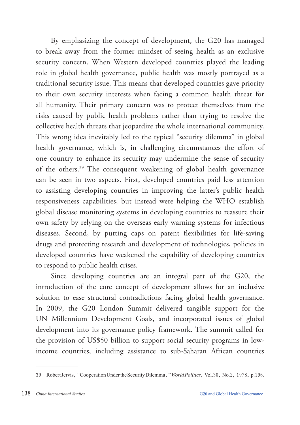By emphasizing the concept of development, the G20 has managed to break away from the former mindset of seeing health as an exclusive security concern. When Western developed countries played the leading role in global health governance, public health was mostly portrayed as a traditional security issue. This means that developed countries gave priority to their own security interests when facing a common health threat for all humanity. Their primary concern was to protect themselves from the risks caused by public health problems rather than trying to resolve the collective health threats that jeopardize the whole international community. This wrong idea inevitably led to the typical "security dilemma" in global health governance, which is, in challenging circumstances the effort of one country to enhance its security may undermine the sense of security of the others.39 The consequent weakening of global health governance can be seen in two aspects. First, developed countries paid less attention to assisting developing countries in improving the latter's public health responsiveness capabilities, but instead were helping the WHO establish global disease monitoring systems in developing countries to reassure their own safety by relying on the overseas early warning systems for infectious diseases. Second, by putting caps on patent flexibilities for life-saving drugs and protecting research and development of technologies, policies in developed countries have weakened the capability of developing countries to respond to public health crises.

Since developing countries are an integral part of the G20, the introduction of the core concept of development allows for an inclusive solution to ease structural contradictions facing global health governance. In 2009, the G20 London Summit delivered tangible support for the UN Millennium Development Goals, and incorporated issues of global development into its governance policy framework. The summit called for the provision of US\$50 billion to support social security programs in lowincome countries, including assistance to sub-Saharan African countries

<sup>39</sup> Robert Jervis, "Cooperation Under the Security Dilemma," *World Politics*, Vol.30, No.2, 1978, p.196.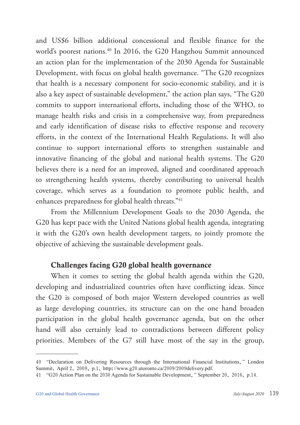and US\$6 billion additional concessional and flexible finance for the world's poorest nations.<sup>40</sup> In 2016, the G20 Hangzhou Summit announced an action plan for the implementation of the 2030 Agenda for Sustainable Development, with focus on global health governance. "The G20 recognizes that health is a necessary component for socio-economic stability, and it is also a key aspect of sustainable development," the action plan says, "The G20 commits to support international efforts, including those of the WHO, to manage health risks and crisis in a comprehensive way, from preparedness and early identification of disease risks to effective response and recovery efforts, in the context of the International Health Regulations. It will also continue to support international efforts to strengthen sustainable and innovative financing of the global and national health systems. The G20 believes there is a need for an improved, aligned and coordinated approach to strengthening health systems, thereby contributing to universal health coverage, which serves as a foundation to promote public health, and enhances preparedness for global health threats."41

From the Millennium Development Goals to the 2030 Agenda, the G20 has kept pace with the United Nations global health agenda, integrating it with the G20's own health development targets, to jointly promote the objective of achieving the sustainable development goals.

#### Challenges facing G20 global health governance

When it comes to setting the global health agenda within the G20, developing and industrialized countries often have conflicting ideas. Since the G20 is composed of both major Western developed countries as well as large developing countries, its structure can on the one hand broaden participation in the global health governance agenda, but on the other hand will also certainly lead to contradictions between different policy priorities. Members of the G7 still have most of the say in the group,

<sup>40</sup> "Declaration on Delivering Resources through the International Financial Institutions," London Summit, April 2, 2009, p.1, http://www.g20.utoronto.ca/2009/2009delivery.pdf.

<sup>41</sup> "G20 Action Plan on the 2030 Agenda for Sustainable Development," September 20, 2016, p.14.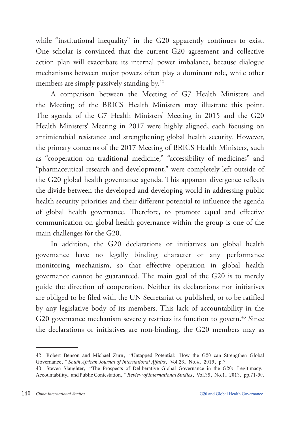while "institutional inequality" in the G20 apparently continues to exist. One scholar is convinced that the current G20 agreement and collective action plan will exacerbate its internal power imbalance, because dialogue mechanisms between major powers often play a dominant role, while other members are simply passively standing by.<sup>42</sup>

A comparison between the Meeting of G7 Health Ministers and the Meeting of the BRICS Health Ministers may illustrate this point. The agenda of the G7 Health Ministers' Meeting in 2015 and the G20 Health Ministers' Meeting in 2017 were highly aligned, each focusing on antimicrobial resistance and strengthening global health security. However, the primary concerns of the 2017 Meeting of BRICS Health Ministers, such as "cooperation on traditional medicine," "accessibility of medicines" and "pharmaceutical research and development," were completely left outside of the G20 global health governance agenda. This apparent divergence reflects the divide between the developed and developing world in addressing public health security priorities and their different potential to influence the agenda of global health governance. Therefore, to promote equal and effective communication on global health governance within the group is one of the main challenges for the G20.

In addition, the G20 declarations or initiatives on global health governance have no legally binding character or any performance monitoring mechanism, so that effective operation in global health governance cannot be guaranteed. The main goal of the G20 is to merely guide the direction of cooperation. Neither its declarations nor initiatives are obliged to be filed with the UN Secretariat or published, or to be ratified by any legislative body of its members. This lack of accountability in the G20 governance mechanism severely restricts its function to govern.<sup>43</sup> Since the declarations or initiatives are non-binding, the G20 members may as

<sup>42</sup> Robert Benson and Michael Zurn, "Untapped Potential: How the G20 can Strengthen Global Governance," *South African Journal of International Affairs*, Vol.26, No.4, 2019, p.7.

<sup>43</sup> Steven Slaughter, "The Prospects of Deliberative Global Governance in the G20: Legitimacy, Accountability, and Public Contestation," *Review of International Studies*, Vol.39, No.1, 2013, pp.71-90.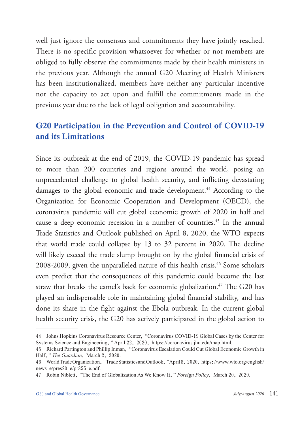well just ignore the consensus and commitments they have jointly reached. There is no specific provision whatsoever for whether or not members are obliged to fully observe the commitments made by their health ministers in the previous year. Although the annual G20 Meeting of Health Ministers has been institutionalized, members have neither any particular incentive nor the capacity to act upon and fulfill the commitments made in the previous year due to the lack of legal obligation and accountability.

# G20 Participation in the Prevention and Control of COVID-19 and its Limitations

Since its outbreak at the end of 2019, the COVID-19 pandemic has spread to more than 200 countries and regions around the world, posing an unprecedented challenge to global health security, and inflicting devastating damages to the global economic and trade development.<sup>44</sup> According to the Organization for Economic Cooperation and Development (OECD), the coronavirus pandemic will cut global economic growth of 2020 in half and cause a deep economic recession in a number of countries.<sup>45</sup> In the annual Trade Statistics and Outlook published on April 8, 2020, the WTO expects that world trade could collapse by 13 to 32 percent in 2020. The decline will likely exceed the trade slump brought on by the global financial crisis of 2008-2009, given the unparalleled nature of this health crisis.<sup>46</sup> Some scholars even predict that the consequences of this pandemic could become the last straw that breaks the camel's back for economic globalization.<sup>47</sup> The G20 has played an indispensable role in maintaining global financial stability, and has done its share in the fight against the Ebola outbreak. In the current global health security crisis, the G20 has actively participated in the global action to

<sup>44</sup> Johns Hopkins Coronavirus Resource Center, "Coronavirus COVID-19 Global Cases by the Center for Systems Science and Engineering," April 22, 2020, https://coronavirus.jhu.edu/map.html.

<sup>45</sup> Richard Partington and Phillip Inman, "Coronavirus Escalation Could Cut Global Economic Growth in Half," *The Guardian*, March 2, 2020.

<sup>46</sup> World Trade Organization, "Trade Statistics and Outlook," April 8, 2020, https://www.wto.org/english/ news e/pres20 e/pr855 e.pdf.

<sup>47</sup> Robin Niblett, "The End of Globalization As We Know It," *Foreign Policy*, March 20, 2020.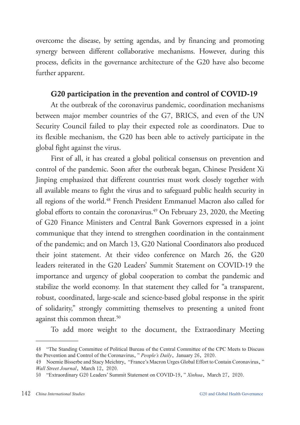overcome the disease, by setting agendas, and by financing and promoting synergy between different collaborative mechanisms. However, during this process, deficits in the governance architecture of the G20 have also become further apparent.

## G20 participation in the prevention and control of COVID-19

At the outbreak of the coronavirus pandemic, coordination mechanisms between major member countries of the G7, BRICS, and even of the UN Security Council failed to play their expected role as coordinators. Due to its flexible mechanism, the G20 has been able to actively participate in the global fight against the virus.

First of all, it has created a global political consensus on prevention and control of the pandemic. Soon after the outbreak began, Chinese President Xi Jinping emphasized that different countries must work closely together with all available means to fight the virus and to safeguard public health security in all regions of the world.<sup>48</sup> French President Emmanuel Macron also called for global efforts to contain the coronavirus. $49$  On February 23, 2020, the Meeting of G20 Finance Ministers and Central Bank Governors expressed in a joint communique that they intend to strengthen coordination in the containment of the pandemic; and on March 13, G20 National Coordinators also produced their joint statement. At their video conference on March 26, the G20 leaders reiterated in the G20 Leaders' Summit Statement on COVID-19 the importance and urgency of global cooperation to combat the pandemic and stabilize the world economy. In that statement they called for "a transparent, robust, coordinated, large-scale and science-based global response in the spirit of solidarity," strongly committing themselves to presenting a united front against this common threat.<sup>50</sup>

To add more weight to the document, the Extraordinary Meeting

<sup>48</sup> "The Standing Committee of Political Bureau of the Central Committee of the CPC Meets to Discuss the Prevention and Control of the Coronavirus," *People's Daily*, January 26, 2020.

<sup>49</sup> Noemie Bisserbe and Stacy Meichtry, "France's Macron Urges Global Effort to Contain Coronavirus," *Wall Street Journal*, March 12, 2020.

<sup>50</sup> "Extraordinary G20 Leaders' Summit Statement on COVID-19," *Xinhua*, March 27, 2020.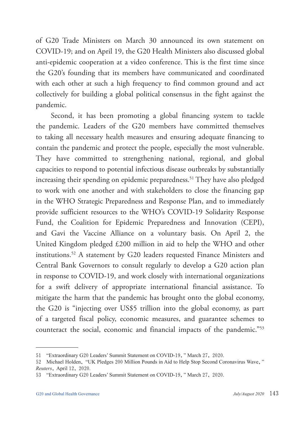of G20 Trade Ministers on March 30 announced its own statement on COVID-19; and on April 19, the G20 Health Ministers also discussed global anti-epidemic cooperation at a video conference. This is the first time since the G20's founding that its members have communicated and coordinated with each other at such a high frequency to find common ground and act collectively for building a global political consensus in the fight against the pandemic.

Second, it has been promoting a global financing system to tackle the pandemic. Leaders of the G20 members have committed themselves to taking all necessary health measures and ensuring adequate financing to contain the pandemic and protect the people, especially the most vulnerable. They have committed to strengthening national, regional, and global capacities to respond to potential infectious disease outbreaks by substantially increasing their spending on epidemic preparedness.<sup>51</sup> They have also pledged to work with one another and with stakeholders to close the financing gap in the WHO Strategic Preparedness and Response Plan, and to immediately provide sufficient resources to the WHO's COVID-19 Solidarity Response Fund, the Coalition for Epidemic Preparedness and Innovation (CEPI), and Gavi the Vaccine Alliance on a voluntary basis. On April 2, the United Kingdom pledged £200 million in aid to help the WHO and other institutions.52 A statement by G20 leaders requested Finance Ministers and Central Bank Governors to consult regularly to develop a G20 action plan in response to COVID-19, and work closely with international organizations for a swift delivery of appropriate international financial assistance. To mitigate the harm that the pandemic has brought onto the global economy, the G20 is "injecting over US\$5 trillion into the global economy, as part of a targeted fiscal policy, economic measures, and guarantee schemes to counteract the social, economic and financial impacts of the pandemic."53

<sup>51</sup> "Extraordinary G20 Leaders' Summit Statement on COVID-19," March 27, 2020.

<sup>52</sup> Michael Holden, "UK Pledges 200 Million Pounds in Aid to Help Stop Second Coronavirus Wave," *Reuters*, April 12, 2020.

<sup>53</sup> "Extraordinary G20 Leaders' Summit Statement on COVID-19," March 27, 2020.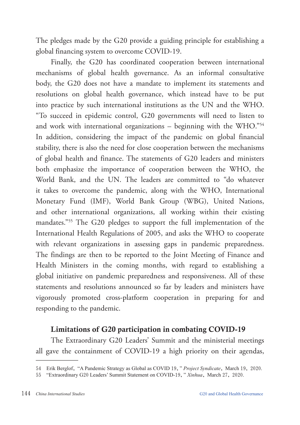The pledges made by the G20 provide a guiding principle for establishing a global financing system to overcome COVID-19.

Finally, the G20 has coordinated cooperation between international mechanisms of global health governance. As an informal consultative body, the G20 does not have a mandate to implement its statements and resolutions on global health governance, which instead have to be put into practice by such international institutions as the UN and the WHO. "To succeed in epidemic control, G20 governments will need to listen to and work with international organizations  $-$  beginning with the WHO."54 In addition, considering the impact of the pandemic on global financial stability, there is also the need for close cooperation between the mechanisms of global health and finance. The statements of G20 leaders and ministers both emphasize the importance of cooperation between the WHO, the World Bank, and the UN. The leaders are committed to "do whatever it takes to overcome the pandemic, along with the WHO, International Monetary Fund (IMF), World Bank Group (WBG), United Nations, and other international organizations, all working within their existing mandates."55 The G20 pledges to support the full implementation of the International Health Regulations of 2005, and asks the WHO to cooperate with relevant organizations in assessing gaps in pandemic preparedness. The findings are then to be reported to the Joint Meeting of Finance and Health Ministers in the coming months, with regard to establishing a global initiative on pandemic preparedness and responsiveness. All of these statements and resolutions announced so far by leaders and ministers have vigorously promoted cross-platform cooperation in preparing for and responding to the pandemic.

## Limitations of G20 participation in combating COVID-19

The Extraordinary G20 Leaders' Summit and the ministerial meetings all gave the containment of COVID-19 a high priority on their agendas,

<sup>54</sup> Erik Berglof, "A Pandemic Strategy as Global as COVID 19," *Project Syndicate*, March 19, 2020.

<sup>55</sup> "Extraordinary G20 Leaders' Summit Statement on COVID-19," *Xinhua*, March 27, 2020.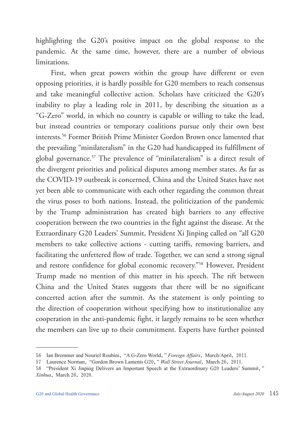highlighting the G20's positive impact on the global response to the pandemic. At the same time, however, there are a number of obvious limitations.

First, when great powers within the group have different or even opposing priorities, it is hardly possible for G20 members to reach consensus and take meaningful collective action. Scholars have criticized the G20's inability to play a leading role in 2011, by describing the situation as a "G-Zero" world, in which no country is capable or willing to take the lead, but instead countries or temporary coalitions pursue only their own best interests.56 Former British Prime Minister Gordon Brown once lamented that the prevailing "minilateralism" in the G20 had handicapped its fulfillment of global governance.57 The prevalence of "minilateralism" is a direct result of the divergent priorities and political disputes among member states. As far as the COVID-19 outbreak is concerned, China and the United States have not yet been able to communicate with each other regarding the common threat the virus poses to both nations. Instead, the politicization of the pandemic by the Trump administration has created high barriers to any effective cooperation between the two countries in the fight against the disease. At the Extraordinary G20 Leaders' Summit, President Xi Jinping called on "all G20 members to take collective actions - cutting tariffs, removing barriers, and facilitating the unfettered flow of trade. Together, we can send a strong signal and restore confidence for global economic recovery."58 However, President Trump made no mention of this matter in his speech. The rift between China and the United States suggests that there will be no significant concerted action after the summit. As the statement is only pointing to the direction of cooperation without specifying how to institutionalize any cooperation in the anti-pandemic fight, it largely remains to be seen whether the members can live up to their commitment. Experts have further pointed

<sup>56</sup> Ian Bremmer and Nouriel Roubini, "A G-Zero World," *Foreign Affairs*, March/April, 2011.

<sup>57</sup> Laurence Norman, "Gordon Brown Laments G20," *Wall Street Journal*, March 26, 2011.

<sup>58</sup> "President Xi Jinping Delivers an Important Speech at the Extraordinary G20 Leaders' Summit," *Xinhua*, March 26, 2020.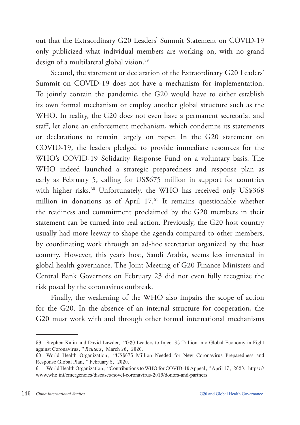out that the Extraordinary G20 Leaders' Summit Statement on COVID-19 only publicized what individual members are working on, with no grand design of a multilateral global vision.<sup>59</sup>

Second, the statement or declaration of the Extraordinary G20 Leaders' Summit on COVID-19 does not have a mechanism for implementation. To jointly contain the pandemic, the G20 would have to either establish its own formal mechanism or employ another global structure such as the WHO. In reality, the G20 does not even have a permanent secretariat and staff, let alone an enforcement mechanism, which condemns its statements or declarations to remain largely on paper. In the G20 statement on COVID-19, the leaders pledged to provide immediate resources for the WHO's COVID-19 Solidarity Response Fund on a voluntary basis. The WHO indeed launched a strategic preparedness and response plan as early as February 5, calling for US\$675 million in support for countries with higher risks.<sup>60</sup> Unfortunately, the WHO has received only US\$368 million in donations as of April 17.<sup>61</sup> It remains questionable whether the readiness and commitment proclaimed by the G20 members in their statement can be turned into real action. Previously, the G20 host country usually had more leeway to shape the agenda compared to other members, by coordinating work through an ad-hoc secretariat organized by the host country. However, this year's host, Saudi Arabia, seems less interested in global health governance. The Joint Meeting of G20 Finance Ministers and Central Bank Governors on February 23 did not even fully recognize the risk posed by the coronavirus outbreak.

Finally, the weakening of the WHO also impairs the scope of action for the G20. In the absence of an internal structure for cooperation, the G20 must work with and through other formal international mechanisms

<sup>59</sup> Stephen Kalin and David Lawder, "G20 Leaders to Inject \$5 Trillion into Global Economy in Fight against Coronavirus," *Reuters*, March 26, 2020.

<sup>60</sup> World Health Organization, "US\$675 Million Needed for New Coronavirus Preparedness and Response Global Plan," February 5, 2020.

<sup>61</sup> World Health Organization, "Contributions to WHO for COVID-19 Appeal," April 17, 2020, https:// www.who.int/emergencies/diseases/novel-coronavirus-2019/donors-and-partners.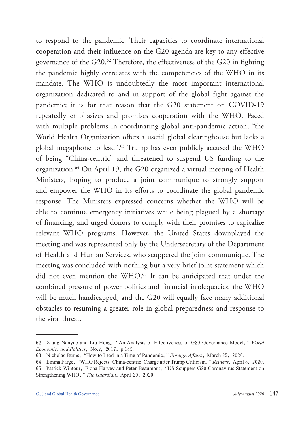to respond to the pandemic. Their capacities to coordinate international cooperation and their influence on the G20 agenda are key to any effective governance of the G20.62 Therefore, the effectiveness of the G20 in fighting the pandemic highly correlates with the competencies of the WHO in its mandate. The WHO is undoubtedly the most important international organization dedicated to and in support of the global fight against the pandemic; it is for that reason that the G20 statement on COVID-19 repeatedly emphasizes and promises cooperation with the WHO. Faced with multiple problems in coordinating global anti-pandemic action, "the World Health Organization offers a useful global clearinghouse but lacks a global megaphone to lead".<sup>63</sup> Trump has even publicly accused the WHO of being "China-centric" and threatened to suspend US funding to the organization.64 On April 19, the G20 organized a virtual meeting of Health Ministers, hoping to produce a joint communique to strongly support and empower the WHO in its efforts to coordinate the global pandemic response. The Ministers expressed concerns whether the WHO will be able to continue emergency initiatives while being plagued by a shortage of financing, and urged donors to comply with their promises to capitalize relevant WHO programs. However, the United States downplayed the meeting and was represented only by the Undersecretary of the Department of Health and Human Services, who scuppered the joint communique. The meeting was concluded with nothing but a very brief joint statement which did not even mention the WHO.<sup>65</sup> It can be anticipated that under the combined pressure of power politics and financial inadequacies, the WHO will be much handicapped, and the G20 will equally face many additional obstacles to resuming a greater role in global preparedness and response to the viral threat.

<sup>62</sup> Xiang Nanyue and Liu Hong, "An Analysis of Effectiveness of G20 Governance Model," *World Economics and Politics*, No.2, 2017, p.145.

<sup>63</sup> Nicholas Burns, "How to Lead in a Time of Pandemic," *Foreign Affairs*, March 25, 2020.

<sup>64</sup> Emma Farge, "WHO Rejects 'China-centric' Charge after Trump Criticism," *Reuters*, April 8, 2020.

<sup>65</sup> Patrick Wintour, Fiona Harvey and Peter Beaumont, "US Scuppers G20 Coronavirus Statement on Strengthening WHO," *The Guardian*, April 20, 2020.